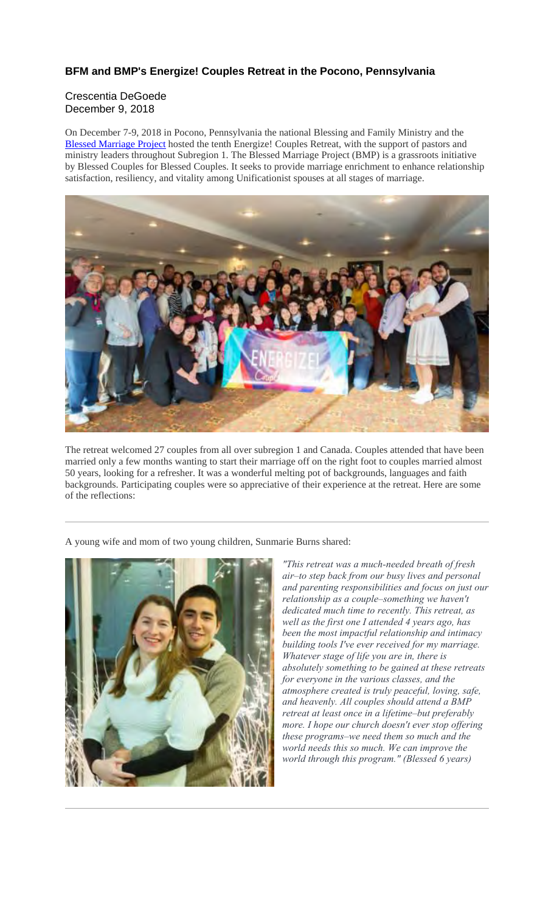## **BFM and BMP's Energize! Couples Retreat in the Pocono, Pennsylvania**

## Crescentia DeGoede December 9, 2018

On December 7-9, 2018 in Pocono, Pennsylvania the national Blessing and Family Ministry and the Blessed Marriage Project hosted the tenth Energize! Couples Retreat, with the support of pastors and ministry leaders throughout Subregion 1. The Blessed Marriage Project (BMP) is a grassroots initiative by Blessed Couples for Blessed Couples. It seeks to provide marriage enrichment to enhance relationship satisfaction, resiliency, and vitality among Unificationist spouses at all stages of marriage.



The retreat welcomed 27 couples from all over subregion 1 and Canada. Couples attended that have been married only a few months wanting to start their marriage off on the right foot to couples married almost 50 years, looking for a refresher. It was a wonderful melting pot of backgrounds, languages and faith backgrounds. Participating couples were so appreciative of their experience at the retreat. Here are some of the reflections:

A young wife and mom of two young children, Sunmarie Burns shared:



*"This retreat was a much-needed breath of fresh air–to step back from our busy lives and personal and parenting responsibilities and focus on just our relationship as a couple–something we haven't dedicated much time to recently. This retreat, as well as the first one I attended 4 years ago, has been the most impactful relationship and intimacy building tools I've ever received for my marriage. Whatever stage of life you are in, there is absolutely something to be gained at these retreats for everyone in the various classes, and the atmosphere created is truly peaceful, loving, safe, and heavenly. All couples should attend a BMP retreat at least once in a lifetime–but preferably more. I hope our church doesn't ever stop offering these programs–we need them so much and the world needs this so much. We can improve the world through this program." (Blessed 6 years)*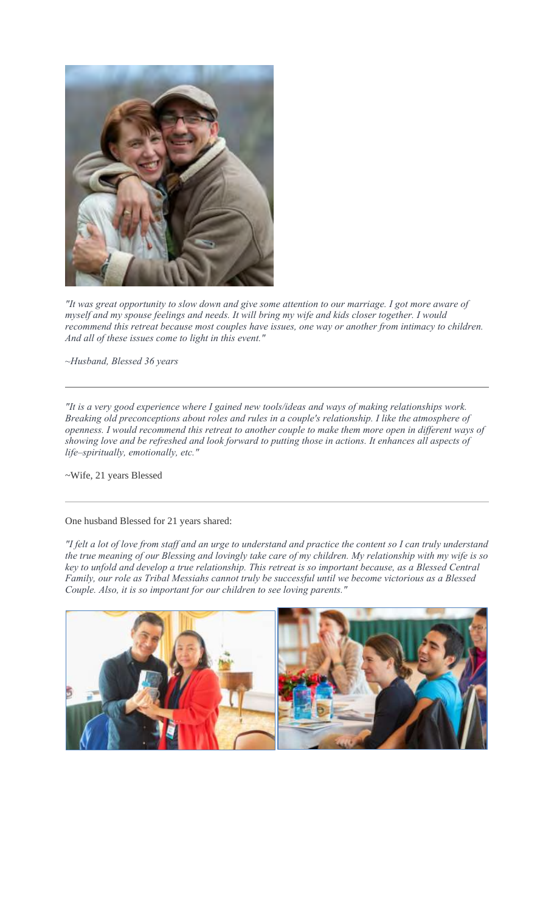

*"It was great opportunity to slow down and give some attention to our marriage. I got more aware of myself and my spouse feelings and needs. It will bring my wife and kids closer together. I would recommend this retreat because most couples have issues, one way or another from intimacy to children. And all of these issues come to light in this event."*

*~Husband, Blessed 36 years*

*"It is a very good experience where I gained new tools/ideas and ways of making relationships work. Breaking old preconceptions about roles and rules in a couple's relationship. I like the atmosphere of openness. I would recommend this retreat to another couple to make them more open in different ways of showing love and be refreshed and look forward to putting those in actions. It enhances all aspects of life–spiritually, emotionally, etc."*

~Wife, 21 years Blessed

## One husband Blessed for 21 years shared:

*"I felt a lot of love from staff and an urge to understand and practice the content so I can truly understand the true meaning of our Blessing and lovingly take care of my children. My relationship with my wife is so key to unfold and develop a true relationship. This retreat is so important because, as a Blessed Central Family, our role as Tribal Messiahs cannot truly be successful until we become victorious as a Blessed Couple. Also, it is so important for our children to see loving parents."*

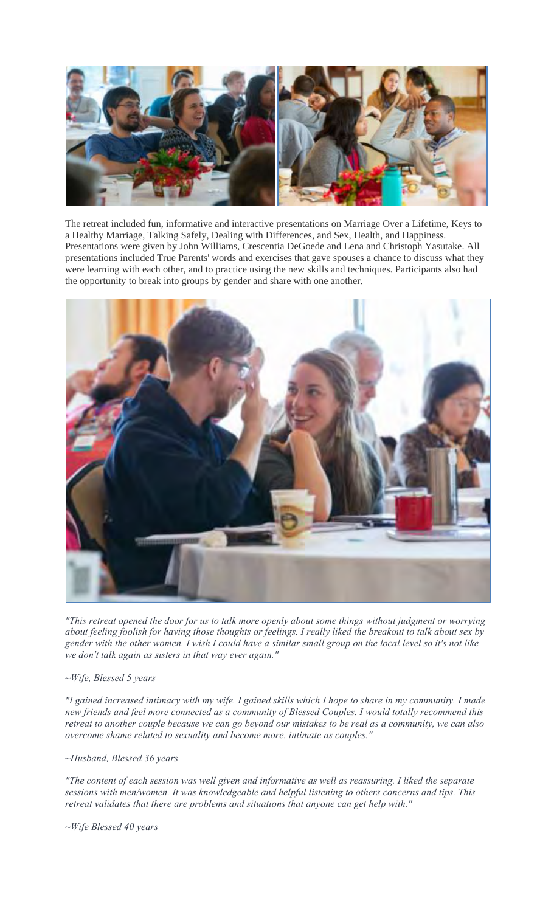

The retreat included fun, informative and interactive presentations on Marriage Over a Lifetime, Keys to a Healthy Marriage, Talking Safely, Dealing with Differences, and Sex, Health, and Happiness. Presentations were given by John Williams, Crescentia DeGoede and Lena and Christoph Yasutake. All presentations included True Parents' words and exercises that gave spouses a chance to discuss what they were learning with each other, and to practice using the new skills and techniques. Participants also had the opportunity to break into groups by gender and share with one another.



*"This retreat opened the door for us to talk more openly about some things without judgment or worrying about feeling foolish for having those thoughts or feelings. I really liked the breakout to talk about sex by gender with the other women. I wish I could have a similar small group on the local level so it's not like we don't talk again as sisters in that way ever again."* 

## *~Wife, Blessed 5 years*

*"I gained increased intimacy with my wife. I gained skills which I hope to share in my community. I made new friends and feel more connected as a community of Blessed Couples. I would totally recommend this retreat to another couple because we can go beyond our mistakes to be real as a community, we can also overcome shame related to sexuality and become more. intimate as couples."*

*~Husband, Blessed 36 years*

*"The content of each session was well given and informative as well as reassuring. I liked the separate sessions with men/women. It was knowledgeable and helpful listening to others concerns and tips. This retreat validates that there are problems and situations that anyone can get help with."* 

*~Wife Blessed 40 years*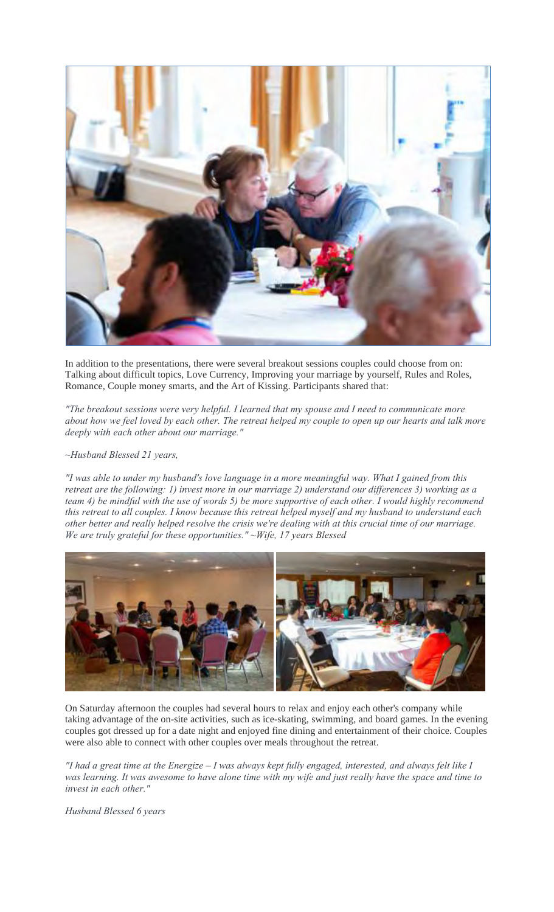

In addition to the presentations, there were several breakout sessions couples could choose from on: Talking about difficult topics, Love Currency, Improving your marriage by yourself, Rules and Roles, Romance, Couple money smarts, and the Art of Kissing. Participants shared that:

*"The breakout sessions were very helpful. I learned that my spouse and I need to communicate more about how we feel loved by each other. The retreat helped my couple to open up our hearts and talk more deeply with each other about our marriage."* 

*~Husband Blessed 21 years,*

*"I was able to under my husband's love language in a more meaningful way. What I gained from this retreat are the following: 1) invest more in our marriage 2) understand our differences 3) working as a team 4) be mindful with the use of words 5) be more supportive of each other. I would highly recommend this retreat to all couples. I know because this retreat helped myself and my husband to understand each other better and really helped resolve the crisis we're dealing with at this crucial time of our marriage. We are truly grateful for these opportunities." ~Wife, 17 years Blessed*



On Saturday afternoon the couples had several hours to relax and enjoy each other's company while taking advantage of the on-site activities, such as ice-skating, swimming, and board games. In the evening couples got dressed up for a date night and enjoyed fine dining and entertainment of their choice. Couples were also able to connect with other couples over meals throughout the retreat.

*"I had a great time at the Energize – I was always kept fully engaged, interested, and always felt like I was learning. It was awesome to have alone time with my wife and just really have the space and time to invest in each other."*

*Husband Blessed 6 years*